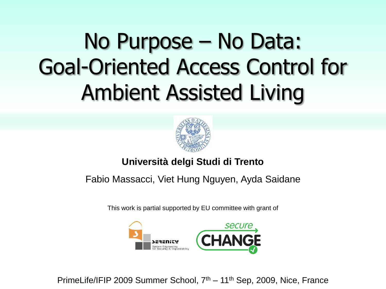# No Purpose – No Data: Goal-Oriented Access Control for Ambient Assisted Living



#### **Università delgi Studi di Trento**

#### Fabio Massacci, Viet Hung Nguyen, Ayda Saidane

This work is partial supported by EU committee with grant of



PrimeLife/IFIP 2009 Summer School, 7<sup>th</sup> – 11<sup>th</sup> Sep, 2009, Nice, France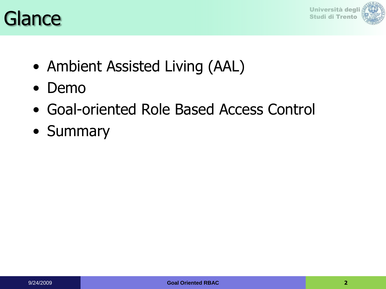



- Ambient Assisted Living (AAL)
- Demo
- Goal-oriented Role Based Access Control
- Summary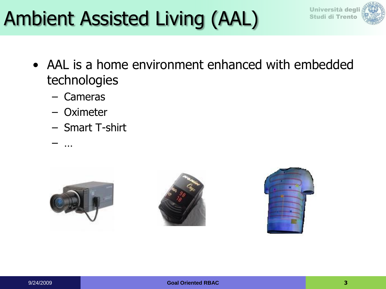## Ambient Assisted Living (AAL)



- AAL is a home environment enhanced with embedded technologies
	- Cameras
	- **Oximeter**

– …

– Smart T-shirt





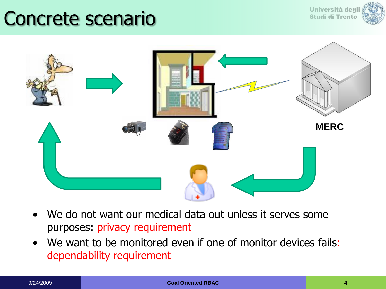#### Concrete scenario





- We do not want our medical data out unless it serves some purposes: privacy requirement
- We want to be monitored even if one of monitor devices fails: dependability requirement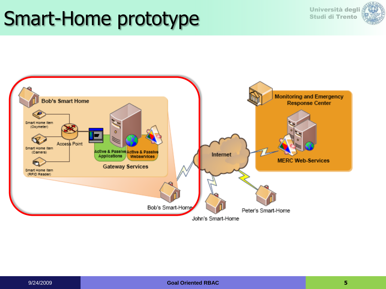#### Smart-Home prototype



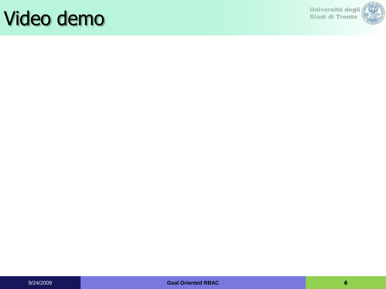#### Video demo

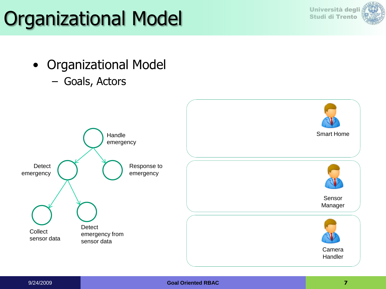# Organizational Model Studi di Trento



- Organizational Model
	- Goals, Actors

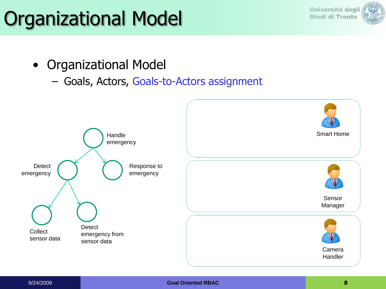# Organizational Model Studi di Trento



- Organizational Model
	- Goals, Actors, Goals-to-Actors assignment

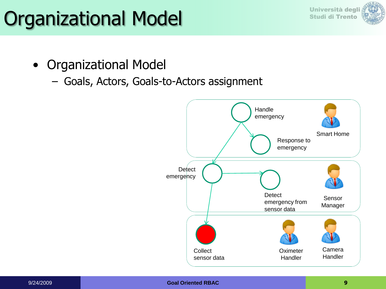# Organizational Model Studi di Trento



- Organizational Model
	- Goals, Actors, Goals-to-Actors assignment

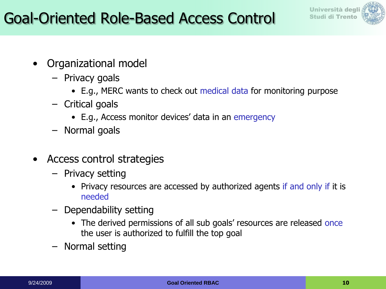



- Organizational model
	- Privacy goals
		- E.g., MERC wants to check out medical data for monitoring purpose
	- Critical goals
		- E.g., Access monitor devices' data in an emergency
	- Normal goals
- Access control strategies
	- Privacy setting
		- Privacy resources are accessed by authorized agents if and only if it is needed
	- Dependability setting
		- The derived permissions of all sub goals' resources are released once the user is authorized to fulfill the top goal
	- Normal setting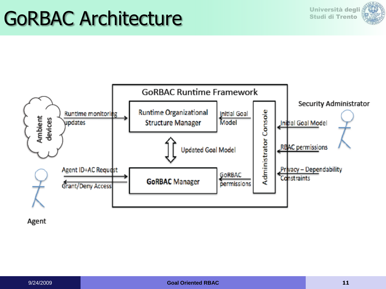## GoRBAC Architecture<br>
Studi di Trento Architecture





Agent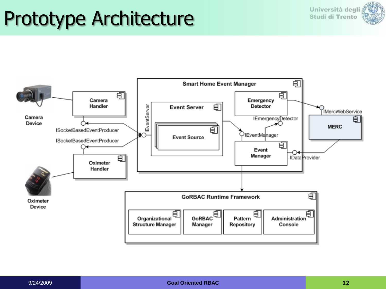### Prototype Architecture **Studi di Trento**



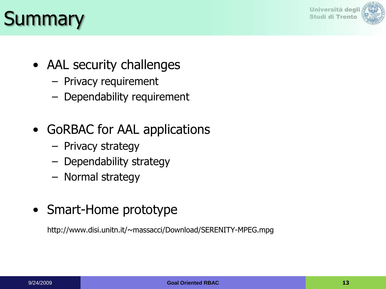

### Summary and the studi di Trento

- AAL security challenges
	- Privacy requirement
	- Dependability requirement
- GoRBAC for AAL applications
	- Privacy strategy
	- Dependability strategy
	- Normal strategy
- Smart-Home prototype

http://www.disi.unitn.it/~massacci/Download/SERENITY-MPEG.mpg